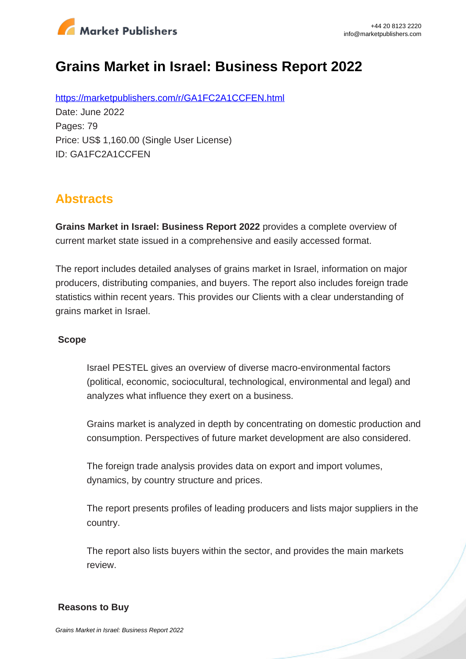

# **Grains Market in Israel: Business Report 2022**

https://marketpublishers.com/r/GA1FC2A1CCFEN.html Date: June 2022 Pages: 79 Price: US\$ 1,160.00 (Single User License) ID: GA1FC2A1CCFEN

## **Abstracts**

**Grains Market in Israel: Business Report 2022** provides a complete overview of current market state issued in a comprehensive and easily accessed format.

The report includes detailed analyses of grains market in Israel, information on major producers, distributing companies, and buyers. The report also includes foreign trade statistics within recent years. This provides our Clients with a clear understanding of grains market in Israel.

#### **Scope**

Israel PESTEL gives an overview of diverse macro-environmental factors (political, economic, sociocultural, technological, environmental and legal) and analyzes what influence they exert on a business.

Grains market is analyzed in depth by concentrating on domestic production and consumption. Perspectives of future market development are also considered.

The foreign trade analysis provides data on export and import volumes, dynamics, by country structure and prices.

The report presents profiles of leading producers and lists major suppliers in the country.

The report also lists buyers within the sector, and provides the main markets review.

#### **Reasons to Buy**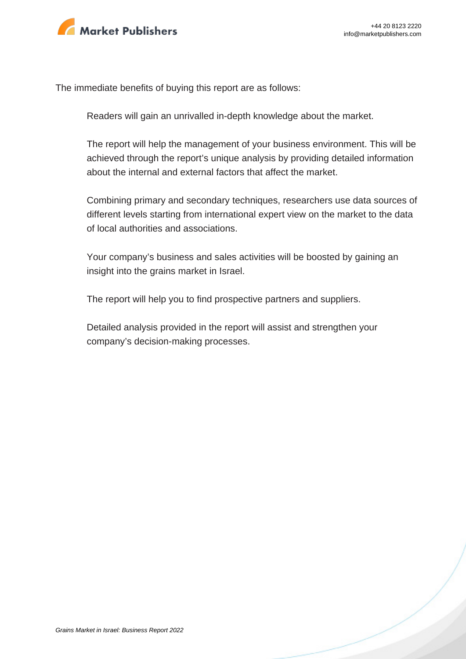

The immediate benefits of buying this report are as follows:

Readers will gain an unrivalled in-depth knowledge about the market.

The report will help the management of your business environment. This will be achieved through the report's unique analysis by providing detailed information about the internal and external factors that affect the market.

Combining primary and secondary techniques, researchers use data sources of different levels starting from international expert view on the market to the data of local authorities and associations.

Your company's business and sales activities will be boosted by gaining an insight into the grains market in Israel.

The report will help you to find prospective partners and suppliers.

Detailed analysis provided in the report will assist and strengthen your company's decision-making processes.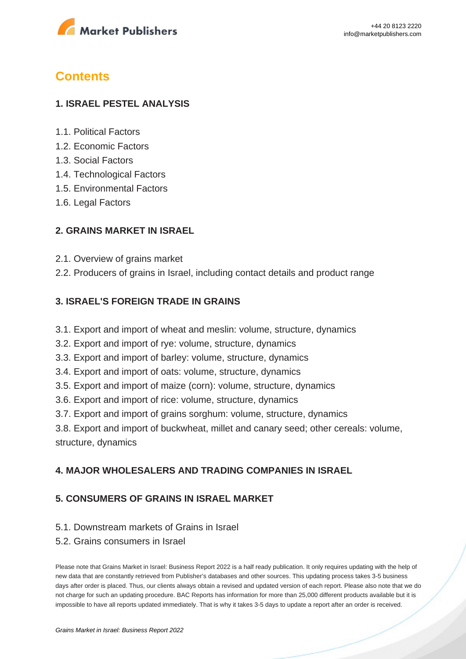

### **Contents**

#### **1. ISRAEL PESTEL ANALYSIS**

- 1.1. Political Factors
- 1.2. Economic Factors
- 1.3. Social Factors
- 1.4. Technological Factors
- 1.5. Environmental Factors
- 1.6. Legal Factors

#### **2. GRAINS MARKET IN ISRAEL**

- 2.1. Overview of grains market
- 2.2. Producers of grains in Israel, including contact details and product range

#### **3. ISRAEL'S FOREIGN TRADE IN GRAINS**

- 3.1. Export and import of wheat and meslin: volume, structure, dynamics
- 3.2. Export and import of rye: volume, structure, dynamics
- 3.3. Export and import of barley: volume, structure, dynamics
- 3.4. Export and import of oats: volume, structure, dynamics
- 3.5. Export and import of maize (corn): volume, structure, dynamics
- 3.6. Export and import of rice: volume, structure, dynamics
- 3.7. Export and import of grains sorghum: volume, structure, dynamics

3.8. Export and import of buckwheat, millet and canary seed; other cereals: volume, structure, dynamics

#### **4. MAJOR WHOLESALERS AND TRADING COMPANIES IN ISRAEL**

#### **5. CONSUMERS OF GRAINS IN ISRAEL MARKET**

- 5.1. Downstream markets of Grains in Israel
- 5.2. Grains consumers in Israel

Please note that Grains Market in Israel: Business Report 2022 is a half ready publication. It only requires updating with the help of new data that are constantly retrieved from Publisher's databases and other sources. This updating process takes 3-5 business days after order is placed. Thus, our clients always obtain a revised and updated version of each report. Please also note that we do not charge for such an updating procedure. BAC Reports has information for more than 25,000 different products available but it is impossible to have all reports updated immediately. That is why it takes 3-5 days to update a report after an order is received.